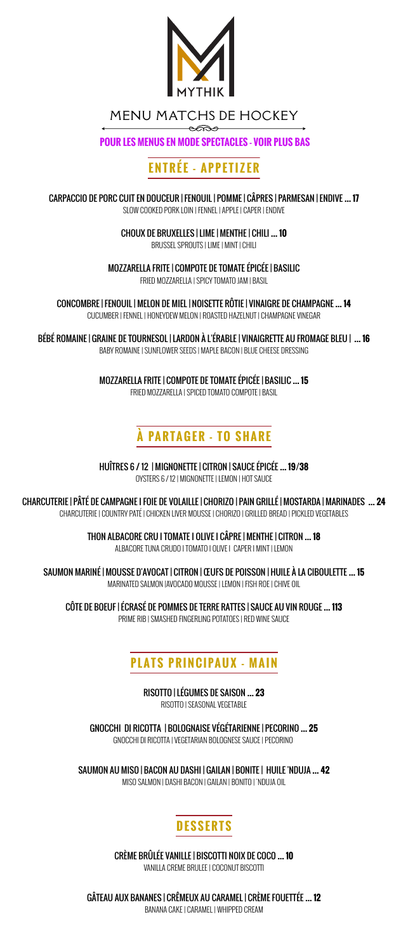

MENU MATCHS DE HOCKEY  $\widehat{\phantom{a}}$ 

**POUR LES MENUS EN MODE SPECTACLES - VOIR PLUS BAS**

# **ENTRÉE - APPETIZER**

CARPACCIO DE PORC CUIT EN DOUCEUR | FENOUIL | POMME | CÂPRES | PARMESAN | ENDIVE **… 17** SLOW COOKED PORK LOIN | FENNEL | APPLE | CAPER | ENDIVE

CHOUX DE BRUXELLES | LIME | MENTHE | CHILI **… 10**

BRUSSEL SPROUTS | LIME | MINT | CHILI

MOZZARELLA FRITE | COMPOTE DE TOMATE ÉPICÉE | BASILIC

FRIED MOZZARELLA | SPICY TOMATO JAM | BASIL

CONCOMBRE | FENOUIL | MELON DE MIEL | NOISETTE RÔTIE | VINAIGRE DE CHAMPAGNE **… 14** CUCUMBER | FENNEL | HONEYDEW MELON | ROASTED HAZELNUT | CHAMPAGNE VINEGAR

BÉBÉ ROMAINE | GRAINE DE TOURNESOL | LARDON À L'ÉRABLE | VINAIGRETTE AU FROMAGE BLEU | **… 16** BABY ROMAINE | SUNFLOWER SEEDS | MAPLE BACON | BLUE CHEESE DRESSING

> MOZZARELLA FRITE | COMPOTE DE TOMATE ÉPICÉE | BASILIC **… 15** FRIED MOZZARELLA | SPICED TOMATO COMPOTE | BASIL

# **À PARTAGER - TO SHARE**

HUÎTRES 6 / 12 | MIGNONETTE | CITRON | SAUCE ÉPICÉE **… 19/38** OYSTERS 6 / 12 | MIGNONETTE | LEMON | HOT SAUCE

CHARCUTERIE | PÂTÉ DE CAMPAGNE I FOIE DE VOLAILLE | CHORIZO | PAIN GRILLÉ | MOSTARDA | MARINADES **… 24** CHARCUTERIE | COUNTRY PATÉ | CHICKEN LIVER MOUSSE | CHORIZO | GRILLED BREAD | PICKLED VEGETABLES

> THON ALBACORE CRU I TOMATE I OLIVE I CÂPRE | MENTHE | CITRON **… 18** ALBACORE TUNA CRUDO I TOMATO I OLIVE I CAPER I MINT | LEMON

SAUMON MARINÉ | MOUSSE D'AVOCAT | CITRON | ŒUFS DE POISSON | HUILE À LA CIBOULETTE **… 15** MARINATED SALMON |AVOCADO MOUSSE | LEMON | FISH ROE | CHIVE OIL

CÔTE DE BOEUF | ÉCRASÉ DE POMMES DE TERRE RATTES | SAUCE AU VIN ROUGE **… 113** PRIME RIB | SMASHED FINGERLING POTATOES | RED WINE SAUCE

### **PLATS PRINCIPAUX - MAIN**

RISOTTO | LÉGUMES DE SAISON **… 23** RISOTTO | SEASONAL VEGETABLE

GNOCCHI DI RICOTTA | BOLOGNAISE VÉGÉTARIENNE | PECORINO **… 25** GNOCCHI DI RICOTTA | VEGETARIAN BOLOGNESE SAUCE | PECORINO

SAUMON AU MISO | BACON AU DASHI | GAILAN | BONITE | HUILE 'NDUJA **… 42** MISO SALMON | DASHI BACON | GAILAN | BONITO | 'NDUJA OIL

### **DESSERTS**

CRÈME BRÛLÉE VANILLE | BISCOTTI NOIX DE COCO **… 10** VANILLA CREME BRULEE | COCONUT BISCOTTI

GÂTEAU AUX BANANES | CRÊMEUX AU CARAMEL | CRÈME FOUETTÉE **… 12** BANANA CAKE | CARAMEL | WHIPPED CREAM